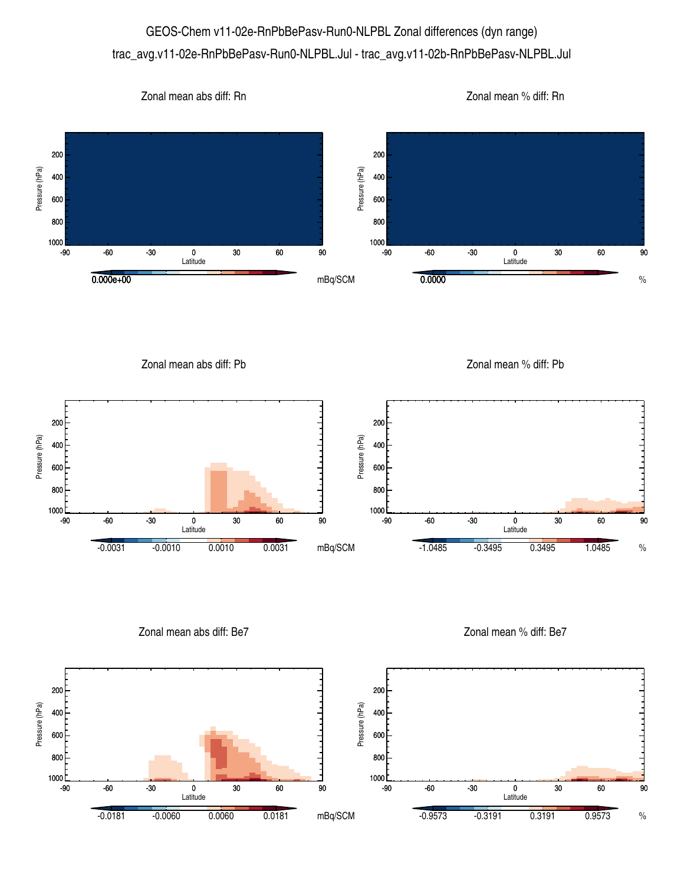## GEOS-Chem v11-02e-RnPbBePasv-Run0-NLPBL Zonal differences (dyn range) trac\_avg.v11-02e-RnPbBePasv-Run0-NLPBL.Jul - trac\_avg.v11-02b-RnPbBePasv-NLPBL.Jul

Zonal mean abs diff: Rn

Zonal mean % diff: Rn



Zonal mean abs diff: Pb

Zonal mean % diff: Pb



Zonal mean abs diff: Be7

Zonal mean % diff: Be7